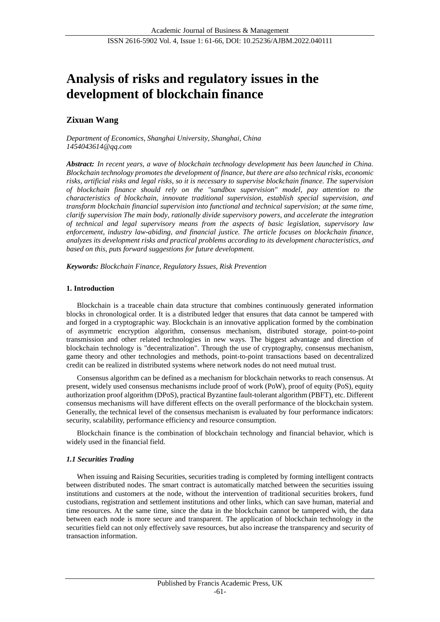# **Analysis of risks and regulatory issues in the development of blockchain finance**

# **Zixuan Wang**

*Department of Economics, Shanghai University, Shanghai, China 1454043614@qq.com*

*Abstract: In recent years, a wave of blockchain technology development has been launched in China. Blockchain technology promotes the development of finance, but there are also technical risks, economic risks, artificial risks and legal risks, so it is necessary to supervise blockchain finance. The supervision of blockchain finance should rely on the "sandbox supervision" model, pay attention to the characteristics of blockchain, innovate traditional supervision, establish special supervision, and transform blockchain financial supervision into functional and technical supervision; at the same time, clarify supervision The main body, rationally divide supervisory powers, and accelerate the integration of technical and legal supervisory means from the aspects of basic legislation, supervisory law enforcement, industry law-abiding, and financial justice. The article focuses on blockchain finance, analyzes its development risks and practical problems according to its development characteristics, and based on this, puts forward suggestions for future development.*

*Keywords: Blockchain Finance, Regulatory Issues, Risk Prevention*

#### **1. Introduction**

Blockchain is a traceable chain data structure that combines continuously generated information blocks in chronological order. It is a distributed ledger that ensures that data cannot be tampered with and forged in a cryptographic way. Blockchain is an innovative application formed by the combination of asymmetric encryption algorithm, consensus mechanism, distributed storage, point-to-point transmission and other related technologies in new ways. The biggest advantage and direction of blockchain technology is "decentralization". Through the use of cryptography, consensus mechanism, game theory and other technologies and methods, point-to-point transactions based on decentralized credit can be realized in distributed systems where network nodes do not need mutual trust.

Consensus algorithm can be defined as a mechanism for blockchain networks to reach consensus. At present, widely used consensus mechanisms include proof of work (PoW), proof of equity (PoS), equity authorization proof algorithm (DPoS), practical Byzantine fault-tolerant algorithm (PBFT), etc. Different consensus mechanisms will have different effects on the overall performance of the blockchain system. Generally, the technical level of the consensus mechanism is evaluated by four performance indicators: security, scalability, performance efficiency and resource consumption.

Blockchain finance is the combination of blockchain technology and financial behavior, which is widely used in the financial field.

#### *1.1 Securities Trading*

When issuing and Raising Securities, securities trading is completed by forming intelligent contracts between distributed nodes. The smart contract is automatically matched between the securities issuing institutions and customers at the node, without the intervention of traditional securities brokers, fund custodians, registration and settlement institutions and other links, which can save human, material and time resources. At the same time, since the data in the blockchain cannot be tampered with, the data between each node is more secure and transparent. The application of blockchain technology in the securities field can not only effectively save resources, but also increase the transparency and security of transaction information.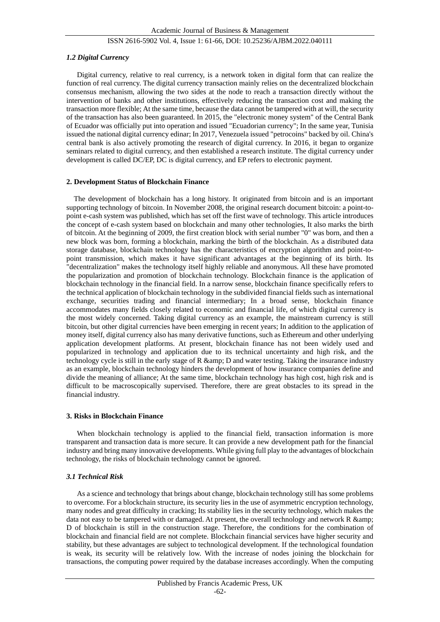#### *1.2 Digital Currency*

Digital currency, relative to real currency, is a network token in digital form that can realize the function of real currency. The digital currency transaction mainly relies on the decentralized blockchain consensus mechanism, allowing the two sides at the node to reach a transaction directly without the intervention of banks and other institutions, effectively reducing the transaction cost and making the transaction more flexible; At the same time, because the data cannot be tampered with at will, the security of the transaction has also been guaranteed. In 2015, the "electronic money system" of the Central Bank of Ecuador was officially put into operation and issued "Ecuadorian currency"; In the same year, Tunisia issued the national digital currency edinar; In 2017, Venezuela issued "petrocoins" backed by oil. China's central bank is also actively promoting the research of digital currency. In 2016, it began to organize seminars related to digital currency, and then established a research institute. The digital currency under development is called DC/EP, DC is digital currency, and EP refers to electronic payment.

#### **2. Development Status of Blockchain Finance**

The development of blockchain has a long history. It originated from bitcoin and is an important supporting technology of bitcoin. In November 2008, the original research document bitcoin: a point-topoint e-cash system was published, which has set off the first wave of technology. This article introduces the concept of e-cash system based on blockchain and many other technologies, It also marks the birth of bitcoin. At the beginning of 2009, the first creation block with serial number "0" was born, and then a new block was born, forming a blockchain, marking the birth of the blockchain. As a distributed data storage database, blockchain technology has the characteristics of encryption algorithm and point-topoint transmission, which makes it have significant advantages at the beginning of its birth. Its "decentralization" makes the technology itself highly reliable and anonymous. All these have promoted the popularization and promotion of blockchain technology. Blockchain finance is the application of blockchain technology in the financial field. In a narrow sense, blockchain finance specifically refers to the technical application of blockchain technology in the subdivided financial fields such as international exchange, securities trading and financial intermediary; In a broad sense, blockchain finance accommodates many fields closely related to economic and financial life, of which digital currency is the most widely concerned. Taking digital currency as an example, the mainstream currency is still bitcoin, but other digital currencies have been emerging in recent years; In addition to the application of money itself, digital currency also has many derivative functions, such as Ethereum and other underlying application development platforms. At present, blockchain finance has not been widely used and popularized in technology and application due to its technical uncertainty and high risk, and the technology cycle is still in the early stage of R  $\&$  amp; D and water testing. Taking the insurance industry as an example, blockchain technology hinders the development of how insurance companies define and divide the meaning of alliance; At the same time, blockchain technology has high cost, high risk and is difficult to be macroscopically supervised. Therefore, there are great obstacles to its spread in the financial industry.

#### **3. Risks in Blockchain Finance**

When blockchain technology is applied to the financial field, transaction information is more transparent and transaction data is more secure. It can provide a new development path for the financial industry and bring many innovative developments. While giving full play to the advantages of blockchain technology, the risks of blockchain technology cannot be ignored.

#### *3.1 Technical Risk*

As a science and technology that brings about change, blockchain technology still has some problems to overcome. For a blockchain structure, its security lies in the use of asymmetric encryption technology, many nodes and great difficulty in cracking; Its stability lies in the security technology, which makes the data not easy to be tampered with or damaged. At present, the overall technology and network R & amp; D of blockchain is still in the construction stage. Therefore, the conditions for the combination of blockchain and financial field are not complete. Blockchain financial services have higher security and stability, but these advantages are subject to technological development. If the technological foundation is weak, its security will be relatively low. With the increase of nodes joining the blockchain for transactions, the computing power required by the database increases accordingly. When the computing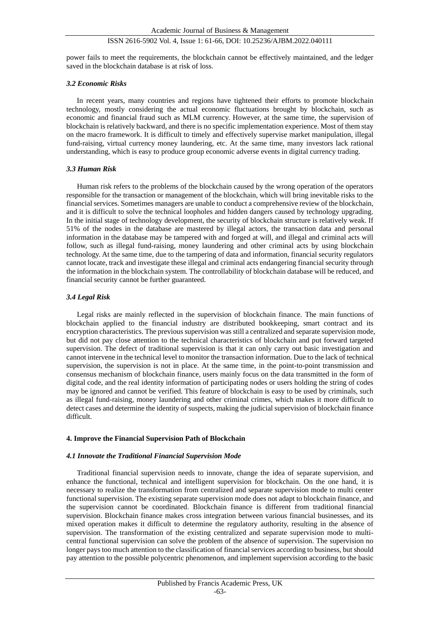power fails to meet the requirements, the blockchain cannot be effectively maintained, and the ledger saved in the blockchain database is at risk of loss.

#### *3.2 Economic Risks*

In recent years, many countries and regions have tightened their efforts to promote blockchain technology, mostly considering the actual economic fluctuations brought by blockchain, such as economic and financial fraud such as MLM currency. However, at the same time, the supervision of blockchain is relatively backward, and there is no specific implementation experience. Most of them stay on the macro framework. It is difficult to timely and effectively supervise market manipulation, illegal fund-raising, virtual currency money laundering, etc. At the same time, many investors lack rational understanding, which is easy to produce group economic adverse events in digital currency trading.

#### *3.3 Human Risk*

Human risk refers to the problems of the blockchain caused by the wrong operation of the operators responsible for the transaction or management of the blockchain, which will bring inevitable risks to the financial services. Sometimes managers are unable to conduct a comprehensive review of the blockchain, and it is difficult to solve the technical loopholes and hidden dangers caused by technology upgrading. In the initial stage of technology development, the security of blockchain structure is relatively weak. If 51% of the nodes in the database are mastered by illegal actors, the transaction data and personal information in the database may be tampered with and forged at will, and illegal and criminal acts will follow, such as illegal fund-raising, money laundering and other criminal acts by using blockchain technology. At the same time, due to the tampering of data and information, financial security regulators cannot locate, track and investigate these illegal and criminal acts endangering financial security through the information in the blockchain system. The controllability of blockchain database will be reduced, and financial security cannot be further guaranteed.

#### *3.4 Legal Risk*

Legal risks are mainly reflected in the supervision of blockchain finance. The main functions of blockchain applied to the financial industry are distributed bookkeeping, smart contract and its encryption characteristics. The previous supervision was still a centralized and separate supervision mode, but did not pay close attention to the technical characteristics of blockchain and put forward targeted supervision. The defect of traditional supervision is that it can only carry out basic investigation and cannot intervene in the technical level to monitor the transaction information. Due to the lack of technical supervision, the supervision is not in place. At the same time, in the point-to-point transmission and consensus mechanism of blockchain finance, users mainly focus on the data transmitted in the form of digital code, and the real identity information of participating nodes or users holding the string of codes may be ignored and cannot be verified. This feature of blockchain is easy to be used by criminals, such as illegal fund-raising, money laundering and other criminal crimes, which makes it more difficult to detect cases and determine the identity of suspects, making the judicial supervision of blockchain finance difficult.

#### **4. Improve the Financial Supervision Path of Blockchain**

#### *4.1 Innovate the Traditional Financial Supervision Mode*

Traditional financial supervision needs to innovate, change the idea of separate supervision, and enhance the functional, technical and intelligent supervision for blockchain. On the one hand, it is necessary to realize the transformation from centralized and separate supervision mode to multi center functional supervision. The existing separate supervision mode does not adapt to blockchain finance, and the supervision cannot be coordinated. Blockchain finance is different from traditional financial supervision. Blockchain finance makes cross integration between various financial businesses, and its mixed operation makes it difficult to determine the regulatory authority, resulting in the absence of supervision. The transformation of the existing centralized and separate supervision mode to multicentral functional supervision can solve the problem of the absence of supervision. The supervision no longer pays too much attention to the classification of financial services according to business, but should pay attention to the possible polycentric phenomenon, and implement supervision according to the basic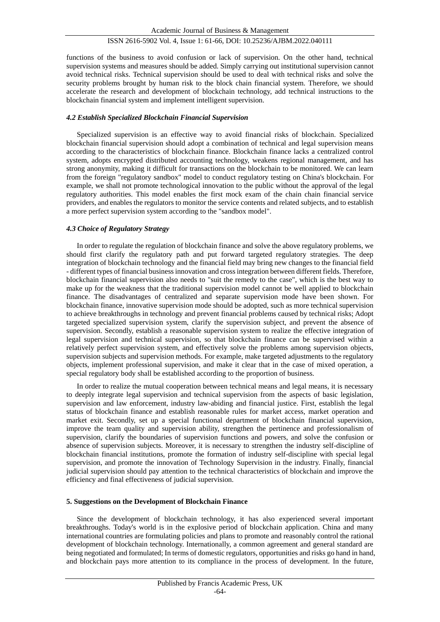functions of the business to avoid confusion or lack of supervision. On the other hand, technical supervision systems and measures should be added. Simply carrying out institutional supervision cannot avoid technical risks. Technical supervision should be used to deal with technical risks and solve the security problems brought by human risk to the block chain financial system. Therefore, we should accelerate the research and development of blockchain technology, add technical instructions to the blockchain financial system and implement intelligent supervision.

# *4.2 Establish Specialized Blockchain Financial Supervision*

Specialized supervision is an effective way to avoid financial risks of blockchain. Specialized blockchain financial supervision should adopt a combination of technical and legal supervision means according to the characteristics of blockchain finance. Blockchain finance lacks a centralized control system, adopts encrypted distributed accounting technology, weakens regional management, and has strong anonymity, making it difficult for transactions on the blockchain to be monitored. We can learn from the foreign "regulatory sandbox" model to conduct regulatory testing on China's blockchain. For example, we shall not promote technological innovation to the public without the approval of the legal regulatory authorities. This model enables the first mock exam of the chain chain financial service providers, and enables the regulators to monitor the service contents and related subjects, and to establish a more perfect supervision system according to the "sandbox model".

#### *4.3 Choice of Regulatory Strategy*

In order to regulate the regulation of blockchain finance and solve the above regulatory problems, we should first clarify the regulatory path and put forward targeted regulatory strategies. The deep integration of blockchain technology and the financial field may bring new changes to the financial field - different types of financial business innovation and cross integration between different fields. Therefore, blockchain financial supervision also needs to "suit the remedy to the case", which is the best way to make up for the weakness that the traditional supervision model cannot be well applied to blockchain finance. The disadvantages of centralized and separate supervision mode have been shown. For blockchain finance, innovative supervision mode should be adopted, such as more technical supervision to achieve breakthroughs in technology and prevent financial problems caused by technical risks; Adopt targeted specialized supervision system, clarify the supervision subject, and prevent the absence of supervision. Secondly, establish a reasonable supervision system to realize the effective integration of legal supervision and technical supervision, so that blockchain finance can be supervised within a relatively perfect supervision system, and effectively solve the problems among supervision objects, supervision subjects and supervision methods. For example, make targeted adjustments to the regulatory objects, implement professional supervision, and make it clear that in the case of mixed operation, a special regulatory body shall be established according to the proportion of business.

In order to realize the mutual cooperation between technical means and legal means, it is necessary to deeply integrate legal supervision and technical supervision from the aspects of basic legislation, supervision and law enforcement, industry law-abiding and financial justice. First, establish the legal status of blockchain finance and establish reasonable rules for market access, market operation and market exit. Secondly, set up a special functional department of blockchain financial supervision, improve the team quality and supervision ability, strengthen the pertinence and professionalism of supervision, clarify the boundaries of supervision functions and powers, and solve the confusion or absence of supervision subjects. Moreover, it is necessary to strengthen the industry self-discipline of blockchain financial institutions, promote the formation of industry self-discipline with special legal supervision, and promote the innovation of Technology Supervision in the industry. Finally, financial judicial supervision should pay attention to the technical characteristics of blockchain and improve the efficiency and final effectiveness of judicial supervision.

#### **5. Suggestions on the Development of Blockchain Finance**

Since the development of blockchain technology, it has also experienced several important breakthroughs. Today's world is in the explosive period of blockchain application. China and many international countries are formulating policies and plans to promote and reasonably control the rational development of blockchain technology. Internationally, a common agreement and general standard are being negotiated and formulated; In terms of domestic regulators, opportunities and risks go hand in hand, and blockchain pays more attention to its compliance in the process of development. In the future,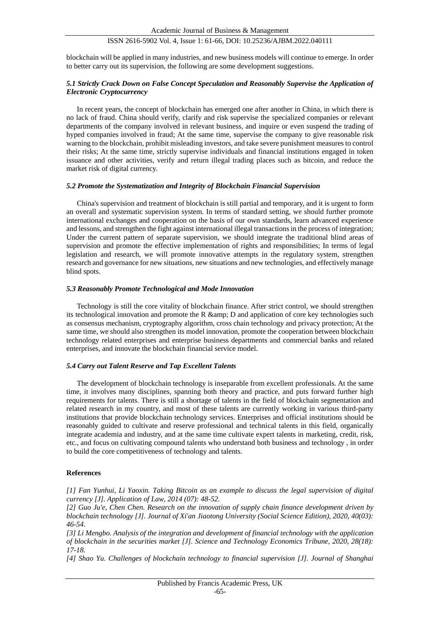blockchain will be applied in many industries, and new business models will continue to emerge. In order to better carry out its supervision, the following are some development suggestions.

#### *5.1 Strictly Crack Down on False Concept Speculation and Reasonably Supervise the Application of Electronic Cryptocurrency*

In recent years, the concept of blockchain has emerged one after another in China, in which there is no lack of fraud. China should verify, clarify and risk supervise the specialized companies or relevant departments of the company involved in relevant business, and inquire or even suspend the trading of hyped companies involved in fraud; At the same time, supervise the company to give reasonable risk warning to the blockchain, prohibit misleading investors, and take severe punishment measures to control their risks; At the same time, strictly supervise individuals and financial institutions engaged in token issuance and other activities, verify and return illegal trading places such as bitcoin, and reduce the market risk of digital currency.

#### *5.2 Promote the Systematization and Integrity of Blockchain Financial Supervision*

China's supervision and treatment of blockchain is still partial and temporary, and it is urgent to form an overall and systematic supervision system. In terms of standard setting, we should further promote international exchanges and cooperation on the basis of our own standards, learn advanced experience and lessons, and strengthen the fight against international illegal transactions in the process of integration; Under the current pattern of separate supervision, we should integrate the traditional blind areas of supervision and promote the effective implementation of rights and responsibilities; In terms of legal legislation and research, we will promote innovative attempts in the regulatory system, strengthen research and governance for new situations, new situations and new technologies, and effectively manage blind spots.

#### *5.3 Reasonably Promote Technological and Mode Innovation*

Technology is still the core vitality of blockchain finance. After strict control, we should strengthen its technological innovation and promote the R  $\&$ amp; D and application of core key technologies such as consensus mechanism, cryptography algorithm, cross chain technology and privacy protection; At the same time, we should also strengthen its model innovation, promote the cooperation between blockchain technology related enterprises and enterprise business departments and commercial banks and related enterprises, and innovate the blockchain financial service model.

#### *5.4 Carry out Talent Reserve and Tap Excellent Talents*

The development of blockchain technology is inseparable from excellent professionals. At the same time, it involves many disciplines, spanning both theory and practice, and puts forward further high requirements for talents. There is still a shortage of talents in the field of blockchain segmentation and related research in my country, and most of these talents are currently working in various third-party institutions that provide blockchain technology services. Enterprises and official institutions should be reasonably guided to cultivate and reserve professional and technical talents in this field, organically integrate academia and industry, and at the same time cultivate expert talents in marketing, credit, risk, etc., and focus on cultivating compound talents who understand both business and technology , in order to build the core competitiveness of technology and talents.

#### **References**

*[1] Fan Yunhui, Li Yaoxin. Taking Bitcoin as an example to discuss the legal supervision of digital currency [J]. Application of Law, 2014 (07): 48-52.*

*[2] Guo Ju'e, Chen Chen. Research on the innovation of supply chain finance development driven by blockchain technology [J]. Journal of Xi'an Jiaotong University (Social Science Edition), 2020, 40(03): 46-54.*

*[3] Li Mengbo. Analysis of the integration and development of financial technology with the application of blockchain in the securities market [J]. Science and Technology Economics Tribune, 2020, 28(18): 17-18.*

*[4] Shao Yu. Challenges of blockchain technology to financial supervision [J]. Journal of Shanghai*